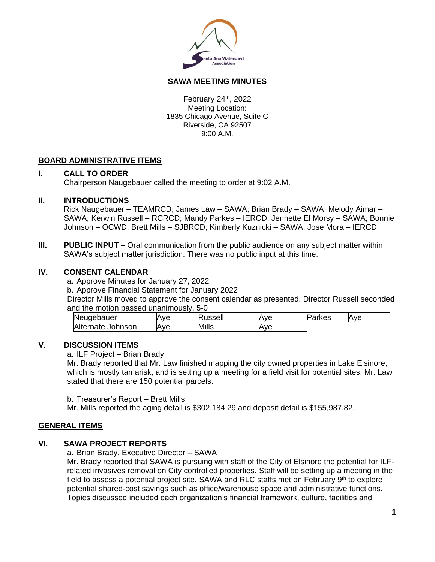

# **SAWA MEETING MINUTES**

February 24<sup>th</sup>, 2022 Meeting Location: 1835 Chicago Avenue, Suite C Riverside, CA 92507 9:00 A.M.

## **BOARD ADMINISTRATIVE ITEMS**

#### **I. CALL TO ORDER**

Chairperson Naugebauer called the meeting to order at 9:02 A.M.

### **II. INTRODUCTIONS**

Rick Naugebauer – TEAMRCD; James Law – SAWA; Brian Brady – SAWA; Melody Aimar – SAWA; Kerwin Russell – RCRCD; Mandy Parkes – IERCD; Jennette El Morsy – SAWA; Bonnie Johnson – OCWD; Brett Mills – SJBRCD; Kimberly Kuznicki – SAWA; Jose Mora – IERCD;

**III.** PUBLIC INPUT – Oral communication from the public audience on any subject matter within SAWA's subject matter jurisdiction. There was no public input at this time.

#### **IV. CONSENT CALENDAR**

a. Approve Minutes for January 27, 2022

b. Approve Financial Statement for January 2022

Director Mills moved to approve the consent calendar as presented. Director Russell seconded and the motion passed unanimously, 5-0

| Net<br>ebauer<br>ю.<br> | Ave | 10001<br>œ   | Avc<br>. с       | Parkes | <b>Ave</b> |  |
|-------------------------|-----|--------------|------------------|--------|------------|--|
| Alternate<br>Johnson    | Ave | <b>Mills</b> | <b>Avc</b><br>л. |        |            |  |

## **V. DISCUSSION ITEMS**

a. ILF Project – Brian Brady

Mr. Brady reported that Mr. Law finished mapping the city owned properties in Lake Elsinore, which is mostly tamarisk, and is setting up a meeting for a field visit for potential sites. Mr. Law stated that there are 150 potential parcels.

b. Treasurer's Report – Brett Mills

Mr. Mills reported the aging detail is \$302,184.29 and deposit detail is \$155,987.82.

## **GENERAL ITEMS**

#### **VI. SAWA PROJECT REPORTS**

a. Brian Brady, Executive Director – SAWA

Mr. Brady reported that SAWA is pursuing with staff of the City of Elsinore the potential for ILFrelated invasives removal on City controlled properties. Staff will be setting up a meeting in the field to assess a potential project site. SAWA and RLC staffs met on February 9<sup>th</sup> to explore potential shared-cost savings such as office/warehouse space and administrative functions. Topics discussed included each organization's financial framework, culture, facilities and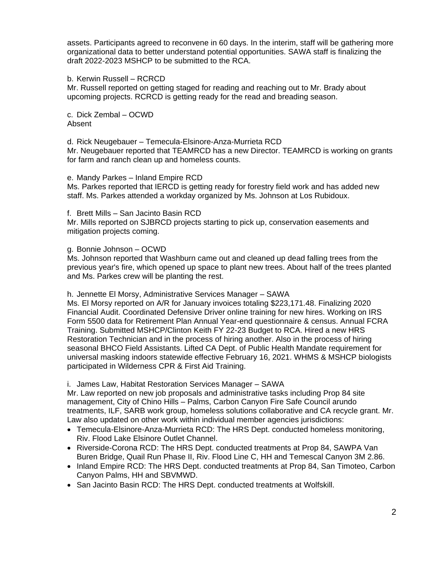assets. Participants agreed to reconvene in 60 days. In the interim, staff will be gathering more organizational data to better understand potential opportunities. SAWA staff is finalizing the draft 2022-2023 MSHCP to be submitted to the RCA.

#### b. Kerwin Russell – RCRCD

Mr. Russell reported on getting staged for reading and reaching out to Mr. Brady about upcoming projects. RCRCD is getting ready for the read and breading season.

c. Dick Zembal – OCWD Absent

d. Rick Neugebauer – Temecula-Elsinore-Anza-Murrieta RCD

Mr. Neugebauer reported that TEAMRCD has a new Director. TEAMRCD is working on grants for farm and ranch clean up and homeless counts.

#### e. Mandy Parkes – Inland Empire RCD

Ms. Parkes reported that IERCD is getting ready for forestry field work and has added new staff. Ms. Parkes attended a workday organized by Ms. Johnson at Los Rubidoux.

f. Brett Mills – San Jacinto Basin RCD

Mr. Mills reported on SJBRCD projects starting to pick up, conservation easements and mitigation projects coming.

# g. Bonnie Johnson – OCWD

Ms. Johnson reported that Washburn came out and cleaned up dead falling trees from the previous year's fire, which opened up space to plant new trees. About half of the trees planted and Ms. Parkes crew will be planting the rest.

#### h. Jennette El Morsy, Administrative Services Manager – SAWA

Ms. El Morsy reported on A/R for January invoices totaling \$223,171.48. Finalizing 2020 Financial Audit. Coordinated Defensive Driver online training for new hires. Working on IRS Form 5500 data for Retirement Plan Annual Year-end questionnaire & census. Annual FCRA Training. Submitted MSHCP/Clinton Keith FY 22-23 Budget to RCA. Hired a new HRS Restoration Technician and in the process of hiring another. Also in the process of hiring seasonal BHCO Field Assistants. Lifted CA Dept. of Public Health Mandate requirement for universal masking indoors statewide effective February 16, 2021. WHMS & MSHCP biologists participated in Wilderness CPR & First Aid Training.

#### i. James Law, Habitat Restoration Services Manager – SAWA

Mr. Law reported on new job proposals and administrative tasks including Prop 84 site management, City of Chino Hills – Palms, Carbon Canyon Fire Safe Council arundo treatments, ILF, SARB work group, homeless solutions collaborative and CA recycle grant. Mr. Law also updated on other work within individual member agencies jurisdictions:

- Temecula-Elsinore-Anza-Murrieta RCD: The HRS Dept. conducted homeless monitoring, Riv. Flood Lake Elsinore Outlet Channel.
- Riverside-Corona RCD: The HRS Dept. conducted treatments at Prop 84, SAWPA Van Buren Bridge, Quail Run Phase II, Riv. Flood Line C, HH and Temescal Canyon 3M 2.86.
- Inland Empire RCD: The HRS Dept. conducted treatments at Prop 84, San Timoteo, Carbon Canyon Palms, HH and SBVMWD.
- San Jacinto Basin RCD: The HRS Dept. conducted treatments at Wolfskill.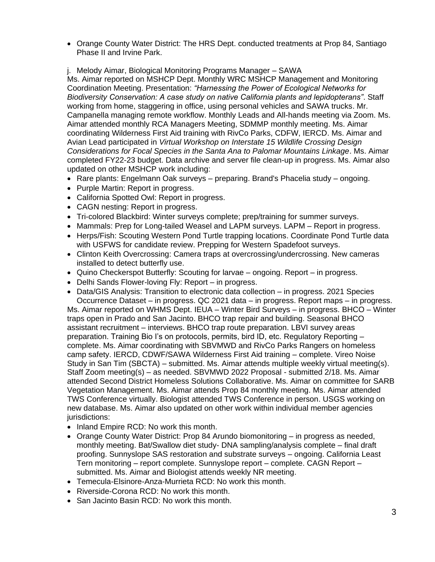• Orange County Water District: The HRS Dept. conducted treatments at Prop 84, Santiago Phase II and Irvine Park.

j. Melody Aimar, Biological Monitoring Programs Manager – SAWA

Ms. Aimar reported on MSHCP Dept. Monthly WRC MSHCP Management and Monitoring Coordination Meeting. Presentation: *"Harnessing the Power of Ecological Networks for Biodiversity Conservation: A case study on native California plants and lepidopterans"*. Staff working from home, staggering in office, using personal vehicles and SAWA trucks. Mr. Campanella managing remote workflow. Monthly Leads and All-hands meeting via Zoom. Ms. Aimar attended monthly RCA Managers Meeting, SDMMP monthly meeting. Ms. Aimar coordinating Wilderness First Aid training with RivCo Parks, CDFW, IERCD. Ms. Aimar and Avian Lead participated in *Virtual Workshop on Interstate 15 Wildlife Crossing Design Considerations for Focal Species in the Santa Ana to Palomar Mountains Linkage*. Ms. Aimar completed FY22-23 budget. Data archive and server file clean-up in progress. Ms. Aimar also updated on other MSHCP work including:

- Rare plants: Engelmann Oak surveys preparing. Brand's Phacelia study ongoing.
- Purple Martin: Report in progress.
- California Spotted Owl: Report in progress.
- CAGN nesting: Report in progress.
- Tri-colored Blackbird: Winter surveys complete; prep/training for summer surveys.
- Mammals: Prep for Long-tailed Weasel and LAPM surveys. LAPM Report in progress.
- Herps/Fish: Scouting Western Pond Turtle trapping locations. Coordinate Pond Turtle data with USFWS for candidate review. Prepping for Western Spadefoot surveys.
- Clinton Keith Overcrossing: Camera traps at overcrossing/undercrossing. New cameras installed to detect butterfly use.
- Quino Checkerspot Butterfly: Scouting for larvae ongoing. Report in progress.
- Delhi Sands Flower-loving Fly: Report in progress.
- Data/GIS Analysis: Transition to electronic data collection in progress. 2021 Species Occurrence Dataset – in progress. QC 2021 data – in progress. Report maps – in progress.

Ms. Aimar reported on WHMS Dept. IEUA – Winter Bird Surveys – in progress. BHCO – Winter traps open in Prado and San Jacinto. BHCO trap repair and building. Seasonal BHCO assistant recruitment – interviews. BHCO trap route preparation. LBVI survey areas preparation. Training Bio I's on protocols, permits, bird ID, etc. Regulatory Reporting – complete. Ms. Aimar coordinating with SBVMWD and RivCo Parks Rangers on homeless camp safety. IERCD, CDWF/SAWA Wilderness First Aid training – complete. Vireo Noise Study in San Tim (SBCTA) – submitted. Ms. Aimar attends multiple weekly virtual meeting(s). Staff Zoom meeting(s) – as needed. SBVMWD 2022 Proposal - submitted 2/18. Ms. Aimar attended Second District Homeless Solutions Collaborative. Ms. Aimar on committee for SARB Vegetation Management. Ms. Aimar attends Prop 84 monthly meeting. Ms. Aimar attended TWS Conference virtually. Biologist attended TWS Conference in person. USGS working on new database. Ms. Aimar also updated on other work within individual member agencies jurisdictions:

- Inland Empire RCD: No work this month.
- Orange County Water District: Prop 84 Arundo biomonitoring in progress as needed, monthly meeting. Bat/Swallow diet study- DNA sampling/analysis complete – final draft proofing. Sunnyslope SAS restoration and substrate surveys – ongoing. California Least Tern monitoring – report complete. Sunnyslope report – complete. CAGN Report – submitted. Ms. Aimar and Biologist attends weekly NR meeting.
- Temecula-Elsinore-Anza-Murrieta RCD: No work this month.
- Riverside-Corona RCD: No work this month.
- San Jacinto Basin RCD: No work this month.